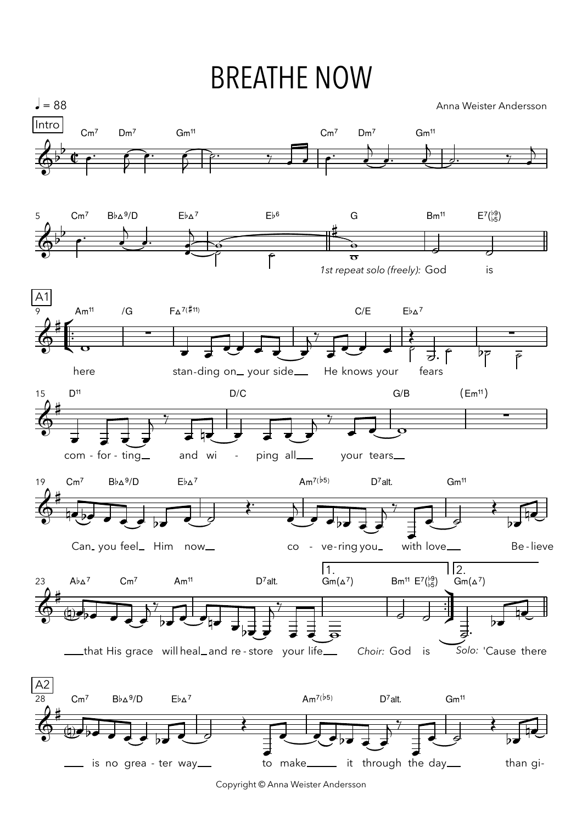## **BREATHE NOW**



Copyright © Anna Weister Andersson